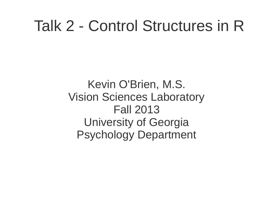#### Talk 2 - Control Structures in R

Kevin O'Brien, M.S. Vision Sciences Laboratory Fall 2013 University of Georgia Psychology Department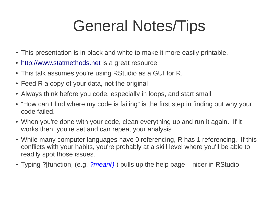## General Notes/Tips

- This presentation is in black and white to make it more easily printable.
- [http://www.statmethods.net](http://www.statmethods.net/) is a great resource
- This talk assumes you're using RStudio as a GUI for R.
- $\cdot$  Feed R a copy of your data, not the original
- Always think before you code, especially in loops, and start small
- "How can I find where my code is failing" is the first step in finding out why your code failed.
- When you're done with your code, clean everything up and run it again. If it works then, you're set and can repeat your analysis.
- While many computer languages have 0 referencing, R has 1 referencing. If this conflicts with your habits, you're probably at a skill level where you'll be able to readily spot those issues.
- Typing ?[function] (e.g. *?mean()* ) pulls up the help page nicer in RStudio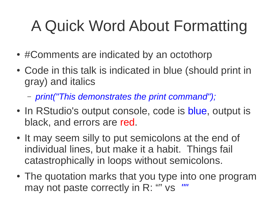# A Quick Word About Formatting

- #Comments are indicated by an octothorp
- Code in this talk is indicated in blue (should print in gray) and italics
	- *print("This demonstrates the print command");*
- In RStudio's output console, code is blue, output is black, and errors are red.
- It may seem silly to put semicolons at the end of individual lines, but make it a habit. Things fail catastrophically in loops without semicolons.
- The quotation marks that you type into one program may not paste correctly in R: "" vs *""*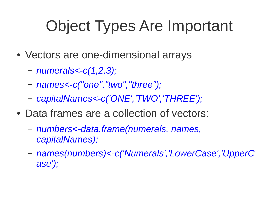## Object Types Are Important

- Vectors are one-dimensional arrays
	- *numerals<-c(1,2,3);*
	- *names<-c("one","two","three");*
	- *capitalNames<-c('ONE','TWO','THREE');*
- Data frames are a collection of vectors:
	- *numbers<-data.frame(numerals, names, capitalNames);*
	- *names(numbers)<-c('Numerals','LowerCase','UpperC ase');*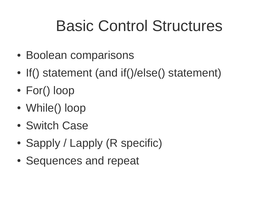## Basic Control Structures

- Boolean comparisons
- If() statement (and if()/else() statement)
- For() loop
- While() loop
- Switch Case
- Sapply / Lapply (R specific)
- Sequences and repeat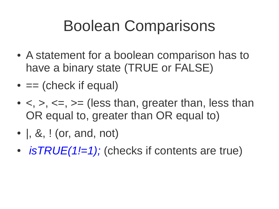## Boolean Comparisons

- A statement for a boolean comparison has to have a binary state (TRUE or FALSE)
- $\bullet$  == (check if equal)
- $\bullet$  <, >, <=, >= (less than, greater than, less than OR equal to, greater than OR equal to)
- $\bullet$  , &, ! (or, and, not)
- *isTRUE(1!=1);* (checks if contents are true)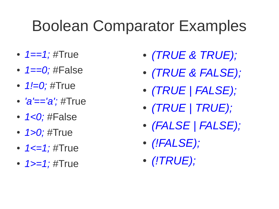## Boolean Comparator Examples

- 1==1; #True
- *1==0;* #False
- *1!=0;* #True
- *'a'=='a';* #True
- *1<0;* #False
- *1>0;* #True
- 1<=1; #True
- *1>=1;* #True
- *(TRUE & TRUE);*
- *(TRUE & FALSE);*
- *(TRUE | FALSE);*
- *(TRUE | TRUE);*
- *(FALSE | FALSE);*
- *(!FALSE);*
- *(!TRUE);*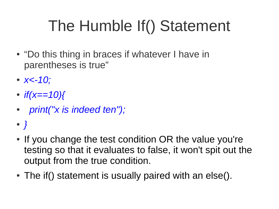# The Humble If() Statement

- "Do this thing in braces if whatever I have in parentheses is true"
- *x<-10;*
- $\cdot$  *if(x==10){*
- ● *print("x is indeed ten");*
- *}*
- If you change the test condition OR the value you're testing so that it evaluates to false, it won't spit out the output from the true condition.
- The if () statement is usually paired with an else().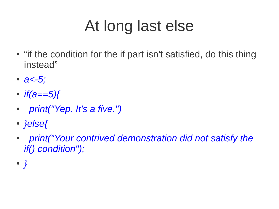# At long last else

- "if the condition for the if part isn't satisfied, do this thing instead"
- *a<-5;*
- *if(a==5){*
- ● *print("Yep. It's a five.")*
- *}else{*
- ● *print("Your contrived demonstration did not satisfy the if() condition");*
- *}*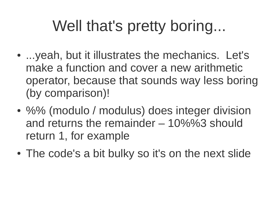## Well that's pretty boring...

- ...yeah, but it illustrates the mechanics. Let's make a function and cover a new arithmetic operator, because that sounds way less boring (by comparison)!
- %% (modulo / modulus) does integer division and returns the remainder – 10%%3 should return 1, for example
- The code's a bit bulky so it's on the next slide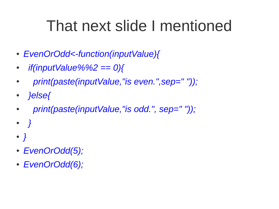## That next slide I mentioned

- *EvenOrOdd<-function(inputValue){*
- ● *if(inputValue%%2 == 0){*
- ● *print(paste(inputValue,"is even.",sep=" "));*
- ● *}else{*
- ● *print(paste(inputValue,"is odd.", sep=" "));*
- ● *}*
- *}*
- *EvenOrOdd(5);*
- *EvenOrOdd(6);*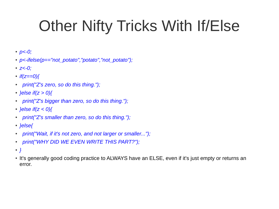# Other Nifty Tricks With If/Else

- *p<-0;*
- *p<-ifelse(p=="not\_potato","potato","not\_potato");*
- *z<-0;*
- $\cdot$  *if(z==0){*
- ● *print("Z's zero, so do this thing.");*
- *}else if(z > 0){*
- ● *print("Z's bigger than zero, so do this thing.");*
- *}else if(z < 0){*
- ● *print("Z's smaller than zero, so do this thing.");*
- *}else{*
- ● *print("Wait, if it's not zero, and not larger or smaller...");*
- ● *print("WHY DID WE EVEN WRITE THIS PART?");*
- *}*
- It's generally good coding practice to ALWAYS have an ELSE, even if it's just empty or returns an error.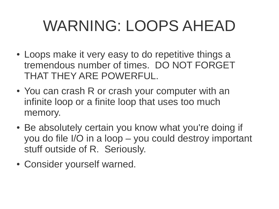## WARNING: LOOPS AHEAD

- Loops make it very easy to do repetitive things a tremendous number of times. DO NOT FORGET THAT THEY ARE POWERFUL.
- You can crash R or crash your computer with an infinite loop or a finite loop that uses too much memory.
- Be absolutely certain you know what you're doing if you do file I/O in a loop – you could destroy important stuff outside of R. Seriously.
- Consider yourself warned.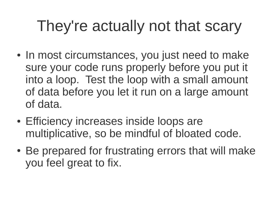# They're actually not that scary

- In most circumstances, you just need to make sure your code runs properly before you put it into a loop. Test the loop with a small amount of data before you let it run on a large amount of data.
- Efficiency increases inside loops are multiplicative, so be mindful of bloated code.
- Be prepared for frustrating errors that will make you feel great to fix.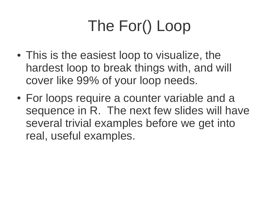# The For() Loop

- This is the easiest loop to visualize, the hardest loop to break things with, and will cover like 99% of your loop needs.
- For loops require a counter variable and a sequence in R. The next few slides will have several trivial examples before we get into real, useful examples.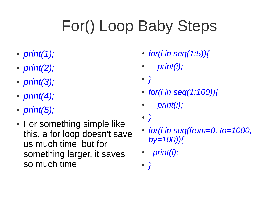# For() Loop Baby Steps

- *print(1);*
- *print(2);*
- *print(3);*
- *print(4);*
- *print(5);*
- For something simple like this, a for loop doesn't save us much time, but for something larger, it saves so much time.
- *for(i in seq(1:5)){*
- ● *print(i);*
- *}*
- *for(i in seq(1:100)){*
- ● *print(i);*
- *}*
- *for(i in seq(from=0, to=1000, by=100)){*
- ● *print(i);*
- *}*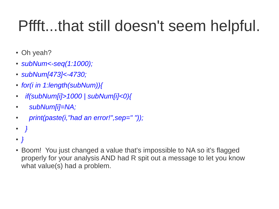# Pffft...that still doesn't seem helpful.

- Oh yeah?
- *subNum<-seq(1:1000);*
- *subNum[473]<-4730;*
- *for(i in 1:length(subNum)){*
- ● *if(subNum[i]>1000 | subNum[i]<0){*
- ● *subNum[i]=NA;*
- ● *print(paste(i,"had an error!",sep=" "));*
- ● *}*
- *}*
- Boom! You just changed a value that's impossible to NA so it's flagged properly for your analysis AND had R spit out a message to let you know what value(s) had a problem.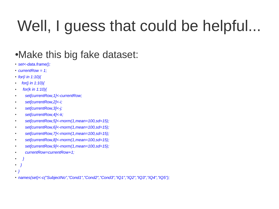# Well, I guess that could be helpful...

#### • Make this big fake dataset:

- *set<-data.frame();*
- *currentRow = 1;*
- *for(i in 1:10){*
- ● *for(j in 1:10){*
- ● *for(k in 1:10){*
- ● *set[currentRow,1]<-currentRow;*
- ● *set[currentRow,2]<-i;*
- ● *set[currentRow,3]<-j;*
- ● *set[currentRow,4]<-k;*
- ● *set[currentRow,5]<-rnorm(1,mean=100,sd=15);*
- ● *set[currentRow,6]<-rnorm(1,mean=100,sd=15);*
- ● *set[currentRow,7]<-rnorm(1,mean=100,sd=15);*
- ● *set[currentRow,8]<-rnorm(1,mean=100,sd=15);*
- ● *set[currentRow,9]<-rnorm(1,mean=100,sd=15);*
- ● *currentRow=currentRow+1;*
- ● *}*
- ● *}*
- *}*
- *names(set)<-c("SubjectNo","Cond1","Cond2","Cond3","IQ1","IQ2","IQ3","IQ4","IQ5");*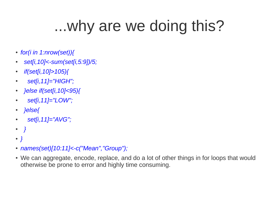## ...why are we doing this?

- *for(i in 1:nrow(set)){*
- ● *set[i,10]<-sum(set[i,5:9])/5;*
- ● *if(set[i,10]>105){*
- ● *set[i,11]="HIGH";*
- ● *}else if(set[i,10]<95){*
- ● *set[i,11]="LOW";*
- ● *}else{*
- ● *set[i,11]="AVG";*
- ● *}*
- *}*
- *names(set)[10:11]<-c("Mean","Group");*
- We can aggregate, encode, replace, and do a lot of other things in for loops that would otherwise be prone to error and highly time consuming.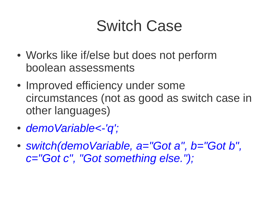#### Switch Case

- Works like if/else but does not perform boolean assessments
- Improved efficiency under some circumstances (not as good as switch case in other languages)
- *demoVariable<-'q';*
- *switch(demoVariable, a="Got a", b="Got b", c="Got c", "Got something else.");*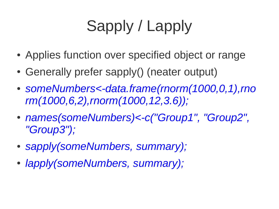# Sapply / Lapply

- Applies function over specified object or range
- Generally prefer sapply() (neater output)
- *someNumbers<-data.frame(rnorm(1000,0,1),rno rm(1000,6,2),rnorm(1000,12,3.6));*
- *names(someNumbers)<-c("Group1", "Group2", "Group3");*
- sapply(someNumbers, summary);
- *lapply(someNumbers, summary);*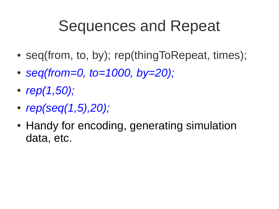#### Sequences and Repeat

- seq(from, to, by); rep(thingToRepeat, times);
- **seg(from=0, to=1000, by=20);**
- *rep(1,50);*
- *rep(seq(1,5),20);*
- Handy for encoding, generating simulation data, etc.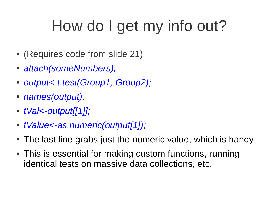# How do I get my info out?

- (Requires code from slide 21)
- *attach(someNumbers);*
- *output<-t.test(Group1, Group2);*
- *names(output);*
- *tVal<-output[[1]];*
- *tValue<-as.numeric(output[1]);*
- The last line grabs just the numeric value, which is handy
- This is essential for making custom functions, running identical tests on massive data collections, etc.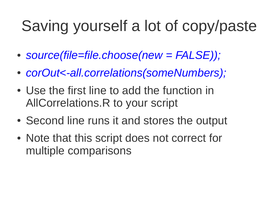# Saving yourself a lot of copy/paste

- *source(file=file.choose(new = FALSE));*
- *corOut<-all.correlations(someNumbers);*
- Use the first line to add the function in AllCorrelations.R to your script
- Second line runs it and stores the output
- Note that this script does not correct for multiple comparisons